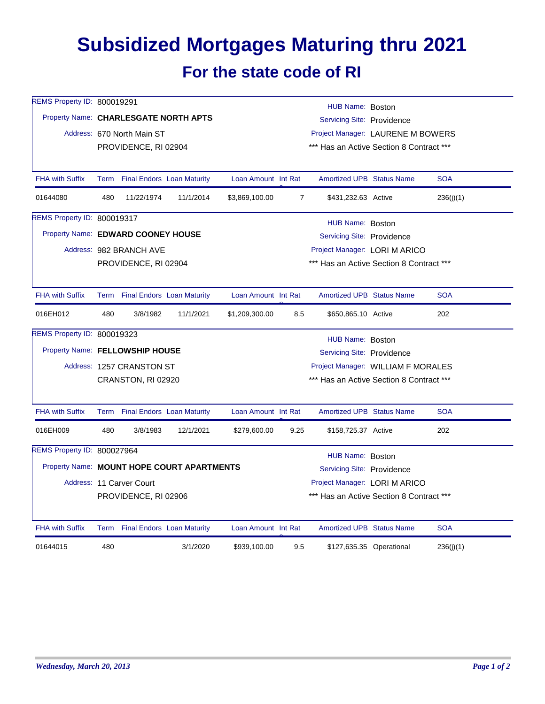## **Subsidized Mortgages Maturing thru 2021 For the state code of RI**

| REMS Property ID: 800019291        | HUB Name: Boston                                                    |                                 |                                            |                     |                            |                                          |                               |            |  |  |
|------------------------------------|---------------------------------------------------------------------|---------------------------------|--------------------------------------------|---------------------|----------------------------|------------------------------------------|-------------------------------|------------|--|--|
|                                    | Property Name: CHARLESGATE NORTH APTS<br>Servicing Site: Providence |                                 |                                            |                     |                            |                                          |                               |            |  |  |
|                                    |                                                                     | Address: 670 North Main ST      | Project Manager: LAURENE M BOWERS          |                     |                            |                                          |                               |            |  |  |
|                                    | *** Has an Active Section 8 Contract ***<br>PROVIDENCE, RI 02904    |                                 |                                            |                     |                            |                                          |                               |            |  |  |
|                                    |                                                                     |                                 |                                            |                     |                            |                                          |                               |            |  |  |
| <b>FHA with Suffix</b>             |                                                                     | Term Final Endors Loan Maturity |                                            | Loan Amount Int Rat |                            | <b>Amortized UPB Status Name</b>         |                               | <b>SOA</b> |  |  |
| 01644080                           | 480                                                                 | 11/22/1974                      | 11/1/2014                                  | \$3,869,100.00      | $\overline{7}$             | \$431,232.63 Active                      |                               | 236(j)(1)  |  |  |
| REMS Property ID: 800019317        |                                                                     |                                 |                                            |                     |                            | HUB Name: Boston                         |                               |            |  |  |
| Property Name: EDWARD COONEY HOUSE |                                                                     |                                 |                                            |                     |                            | Servicing Site: Providence               |                               |            |  |  |
|                                    |                                                                     | Address: 982 BRANCH AVE         |                                            |                     |                            |                                          | Project Manager: LORI M ARICO |            |  |  |
|                                    | PROVIDENCE, RI 02904                                                |                                 |                                            |                     |                            | *** Has an Active Section 8 Contract *** |                               |            |  |  |
|                                    |                                                                     |                                 |                                            |                     |                            |                                          |                               |            |  |  |
| <b>FHA with Suffix</b>             |                                                                     | Term Final Endors Loan Maturity |                                            | Loan Amount Int Rat |                            | Amortized UPB Status Name                |                               | <b>SOA</b> |  |  |
| 016EH012                           | 480                                                                 | 3/8/1982                        | 11/1/2021                                  | \$1,209,300.00      | 8.5                        | \$650,865.10 Active                      |                               | 202        |  |  |
| REMS Property ID: 800019323        | HUB Name: Boston                                                    |                                 |                                            |                     |                            |                                          |                               |            |  |  |
|                                    | Property Name: FELLOWSHIP HOUSE<br>Servicing Site: Providence       |                                 |                                            |                     |                            |                                          |                               |            |  |  |
|                                    | Address: 1257 CRANSTON ST<br>Project Manager: WILLIAM F MORALES     |                                 |                                            |                     |                            |                                          |                               |            |  |  |
|                                    |                                                                     | CRANSTON, RI 02920              |                                            |                     |                            | *** Has an Active Section 8 Contract *** |                               |            |  |  |
|                                    |                                                                     |                                 |                                            |                     |                            |                                          |                               |            |  |  |
| <b>FHA with Suffix</b>             |                                                                     | Term Final Endors Loan Maturity |                                            | Loan Amount Int Rat |                            | <b>Amortized UPB Status Name</b>         |                               | <b>SOA</b> |  |  |
| 016EH009                           | 480                                                                 | 3/8/1983                        | 12/1/2021                                  | \$279,600.00        | 9.25                       | \$158,725.37 Active                      |                               | 202        |  |  |
| REMS Property ID: 800027964        |                                                                     |                                 |                                            |                     |                            | HUB Name: Boston                         |                               |            |  |  |
|                                    |                                                                     |                                 | Property Name: MOUNT HOPE COURT APARTMENTS |                     | Servicing Site: Providence |                                          |                               |            |  |  |
|                                    |                                                                     | Address: 11 Carver Court        |                                            |                     |                            | Project Manager: LORI M ARICO            |                               |            |  |  |
|                                    |                                                                     | PROVIDENCE, RI 02906            |                                            |                     |                            | *** Has an Active Section 8 Contract *** |                               |            |  |  |
|                                    |                                                                     |                                 |                                            |                     |                            |                                          |                               |            |  |  |
| <b>FHA with Suffix</b>             |                                                                     | Term Final Endors Loan Maturity |                                            | Loan Amount Int Rat |                            | <b>Amortized UPB Status Name</b>         |                               | <b>SOA</b> |  |  |
| 01644015                           | 480                                                                 |                                 | 3/1/2020                                   | \$939,100.00        | 9.5                        |                                          | \$127,635.35 Operational      | 236(j)(1)  |  |  |